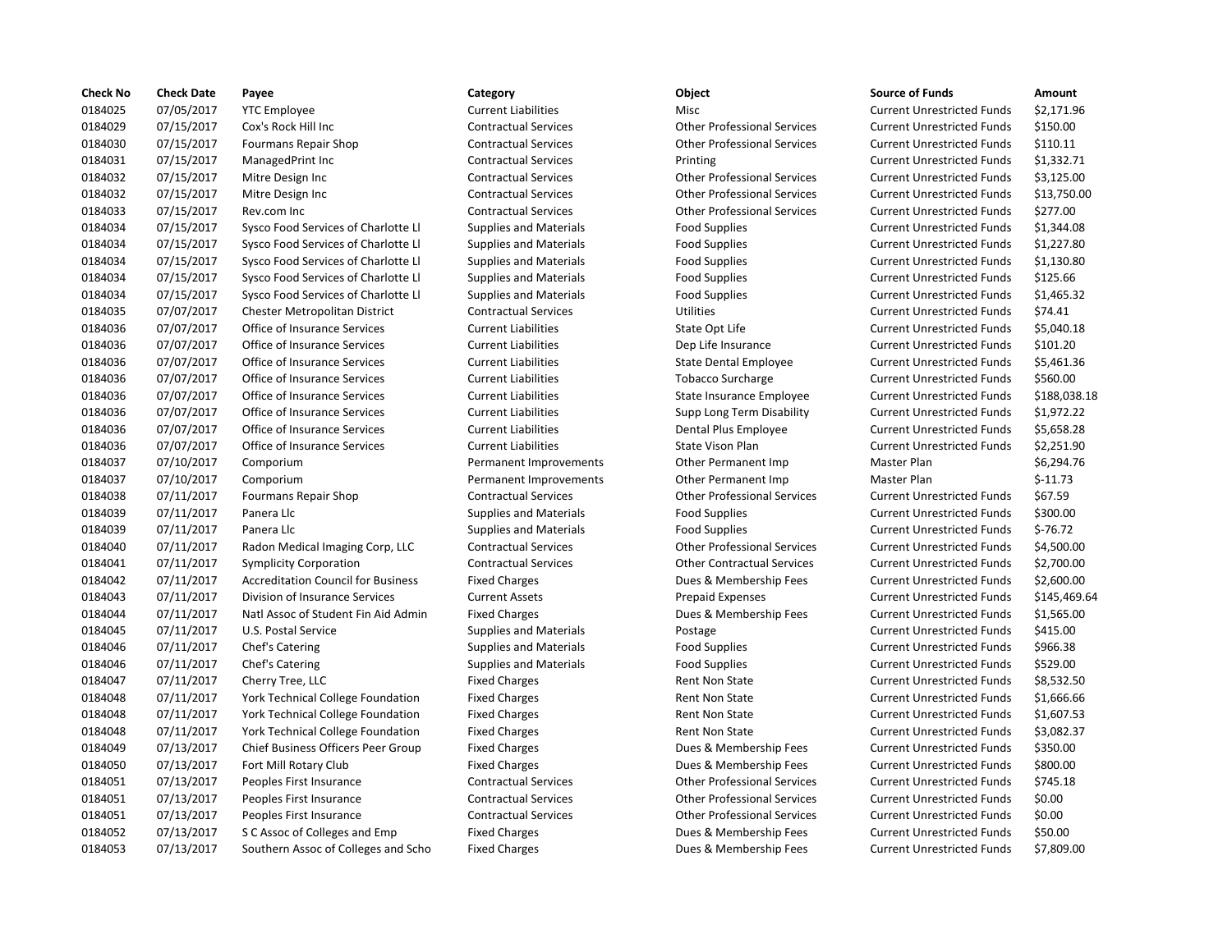| <b>Check No</b> | <b>Check Date</b> | Payee                                     | Category                      | Object                             | <b>Source of Funds</b>            | Amount    |
|-----------------|-------------------|-------------------------------------------|-------------------------------|------------------------------------|-----------------------------------|-----------|
| 0184025         | 07/05/2017        | <b>YTC Employee</b>                       | <b>Current Liabilities</b>    | Misc                               | <b>Current Unrestricted Funds</b> | \$2,171.9 |
| 0184029         | 07/15/2017        | Cox's Rock Hill Inc                       | <b>Contractual Services</b>   | <b>Other Professional Services</b> | <b>Current Unrestricted Funds</b> | \$150.00  |
| 0184030         | 07/15/2017        | <b>Fourmans Repair Shop</b>               | <b>Contractual Services</b>   | <b>Other Professional Services</b> | <b>Current Unrestricted Funds</b> | \$110.11  |
| 0184031         | 07/15/2017        | ManagedPrint Inc                          | <b>Contractual Services</b>   | Printing                           | <b>Current Unrestricted Funds</b> | \$1,332.7 |
| 0184032         | 07/15/2017        | Mitre Design Inc                          | <b>Contractual Services</b>   | <b>Other Professional Services</b> | <b>Current Unrestricted Funds</b> | \$3,125.0 |
| 0184032         | 07/15/2017        | Mitre Design Inc                          | <b>Contractual Services</b>   | <b>Other Professional Services</b> | <b>Current Unrestricted Funds</b> | \$13,750  |
| 0184033         | 07/15/2017        | Rev.com Inc                               | <b>Contractual Services</b>   | <b>Other Professional Services</b> | <b>Current Unrestricted Funds</b> | \$277.00  |
| 0184034         | 07/15/2017        | Sysco Food Services of Charlotte Ll       | <b>Supplies and Materials</b> | <b>Food Supplies</b>               | <b>Current Unrestricted Funds</b> | \$1,344.0 |
| 0184034         | 07/15/2017        | Sysco Food Services of Charlotte Ll       | <b>Supplies and Materials</b> | <b>Food Supplies</b>               | <b>Current Unrestricted Funds</b> | \$1,227.8 |
| 0184034         | 07/15/2017        | Sysco Food Services of Charlotte Ll       | <b>Supplies and Materials</b> | <b>Food Supplies</b>               | <b>Current Unrestricted Funds</b> | \$1,130.8 |
| 0184034         | 07/15/2017        | Sysco Food Services of Charlotte Ll       | <b>Supplies and Materials</b> | <b>Food Supplies</b>               | <b>Current Unrestricted Funds</b> | \$125.66  |
| 0184034         | 07/15/2017        | Sysco Food Services of Charlotte Ll       | <b>Supplies and Materials</b> | <b>Food Supplies</b>               | <b>Current Unrestricted Funds</b> | \$1,465.3 |
| 0184035         | 07/07/2017        | Chester Metropolitan District             | <b>Contractual Services</b>   | Utilities                          | <b>Current Unrestricted Funds</b> | \$74.41   |
| 0184036         | 07/07/2017        | Office of Insurance Services              | <b>Current Liabilities</b>    | State Opt Life                     | <b>Current Unrestricted Funds</b> | \$5,040.1 |
| 0184036         | 07/07/2017        | Office of Insurance Services              | <b>Current Liabilities</b>    | Dep Life Insurance                 | <b>Current Unrestricted Funds</b> | \$101.20  |
| 0184036         | 07/07/2017        | Office of Insurance Services              | <b>Current Liabilities</b>    | <b>State Dental Employee</b>       | <b>Current Unrestricted Funds</b> | \$5,461.3 |
| 0184036         | 07/07/2017        | Office of Insurance Services              | <b>Current Liabilities</b>    | <b>Tobacco Surcharge</b>           | <b>Current Unrestricted Funds</b> | \$560.00  |
| 0184036         | 07/07/2017        | Office of Insurance Services              | <b>Current Liabilities</b>    | State Insurance Employee           | <b>Current Unrestricted Funds</b> | \$188,03  |
| 0184036         | 07/07/2017        | Office of Insurance Services              | <b>Current Liabilities</b>    | Supp Long Term Disability          | <b>Current Unrestricted Funds</b> | \$1,972.2 |
| 0184036         | 07/07/2017        | Office of Insurance Services              | <b>Current Liabilities</b>    | Dental Plus Employee               | <b>Current Unrestricted Funds</b> | \$5,658.2 |
| 0184036         | 07/07/2017        | Office of Insurance Services              | <b>Current Liabilities</b>    | State Vison Plan                   | <b>Current Unrestricted Funds</b> | \$2,251.9 |
| 0184037         | 07/10/2017        | Comporium                                 | Permanent Improvements        | Other Permanent Imp                | Master Plan                       | \$6,294.7 |
| 0184037         | 07/10/2017        | Comporium                                 | Permanent Improvements        | Other Permanent Imp                | Master Plan                       | $$-11.73$ |
| 0184038         | 07/11/2017        | Fourmans Repair Shop                      | <b>Contractual Services</b>   | <b>Other Professional Services</b> | <b>Current Unrestricted Funds</b> | \$67.59   |
| 0184039         | 07/11/2017        | Panera Llc                                | <b>Supplies and Materials</b> | <b>Food Supplies</b>               | <b>Current Unrestricted Funds</b> | \$300.00  |
| 0184039         | 07/11/2017        | Panera Llc                                | <b>Supplies and Materials</b> | <b>Food Supplies</b>               | <b>Current Unrestricted Funds</b> | $$-76.72$ |
| 0184040         | 07/11/2017        | Radon Medical Imaging Corp, LLC           | <b>Contractual Services</b>   | <b>Other Professional Services</b> | <b>Current Unrestricted Funds</b> | \$4,500.0 |
| 0184041         | 07/11/2017        | <b>Symplicity Corporation</b>             | <b>Contractual Services</b>   | <b>Other Contractual Services</b>  | <b>Current Unrestricted Funds</b> | \$2,700.0 |
| 0184042         | 07/11/2017        | <b>Accreditation Council for Business</b> | <b>Fixed Charges</b>          | Dues & Membership Fees             | <b>Current Unrestricted Funds</b> | \$2,600.0 |
| 0184043         | 07/11/2017        | Division of Insurance Services            | <b>Current Assets</b>         | <b>Prepaid Expenses</b>            | <b>Current Unrestricted Funds</b> | \$145,46  |
| 0184044         | 07/11/2017        | Natl Assoc of Student Fin Aid Admin       | <b>Fixed Charges</b>          | Dues & Membership Fees             | <b>Current Unrestricted Funds</b> | \$1,565.0 |
| 0184045         | 07/11/2017        | U.S. Postal Service                       | <b>Supplies and Materials</b> | Postage                            | <b>Current Unrestricted Funds</b> | \$415.00  |
| 0184046         | 07/11/2017        | Chef's Catering                           | <b>Supplies and Materials</b> | <b>Food Supplies</b>               | <b>Current Unrestricted Funds</b> | \$966.38  |
| 0184046         | 07/11/2017        | Chef's Catering                           | <b>Supplies and Materials</b> | <b>Food Supplies</b>               | <b>Current Unrestricted Funds</b> | \$529.00  |
| 0184047         | 07/11/2017        | Cherry Tree, LLC                          | <b>Fixed Charges</b>          | <b>Rent Non State</b>              | <b>Current Unrestricted Funds</b> | \$8,532.5 |
| 0184048         | 07/11/2017        | York Technical College Foundation         | <b>Fixed Charges</b>          | Rent Non State                     | <b>Current Unrestricted Funds</b> | \$1,666.6 |
| 0184048         | 07/11/2017        | York Technical College Foundation         | <b>Fixed Charges</b>          | <b>Rent Non State</b>              | <b>Current Unrestricted Funds</b> | \$1,607.5 |
| 0184048         | 07/11/2017        | <b>York Technical College Foundation</b>  | <b>Fixed Charges</b>          | <b>Rent Non State</b>              | <b>Current Unrestricted Funds</b> | \$3,082.3 |
| 0184049         | 07/13/2017        | Chief Business Officers Peer Group        | <b>Fixed Charges</b>          | Dues & Membership Fees             | <b>Current Unrestricted Funds</b> | \$350.00  |
| 0184050         | 07/13/2017        | Fort Mill Rotary Club                     | <b>Fixed Charges</b>          | Dues & Membership Fees             | <b>Current Unrestricted Funds</b> | \$800.00  |
| 0184051         | 07/13/2017        | Peoples First Insurance                   | <b>Contractual Services</b>   | <b>Other Professional Services</b> | <b>Current Unrestricted Funds</b> | \$745.18  |
| 0184051         | 07/13/2017        | Peoples First Insurance                   | <b>Contractual Services</b>   | <b>Other Professional Services</b> | <b>Current Unrestricted Funds</b> | \$0.00    |
| 0184051         | 07/13/2017        | Peoples First Insurance                   | <b>Contractual Services</b>   | <b>Other Professional Services</b> | <b>Current Unrestricted Funds</b> | \$0.00    |
| 0184052         | 07/13/2017        | S C Assoc of Colleges and Emp             | <b>Fixed Charges</b>          | Dues & Membership Fees             | <b>Current Unrestricted Funds</b> | \$50.00   |
| 0184053         | 07/13/2017        | Southern Assoc of Colleges and Scho       | <b>Fixed Charges</b>          | Dues & Membership Fees             | <b>Current Unrestricted Funds</b> | \$7.809.0 |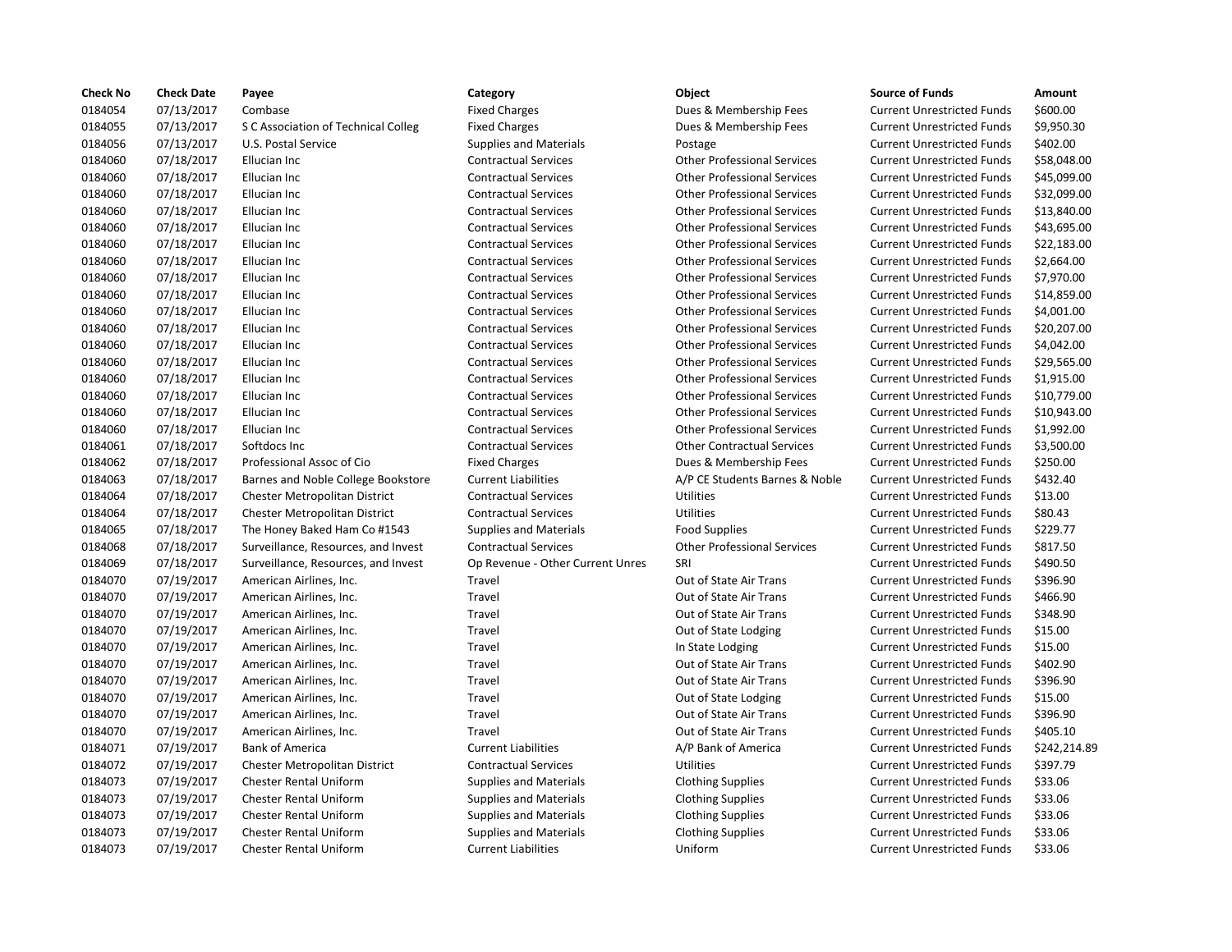| <b>Check No</b> | <b>Check Date</b> | Payee                                | Category                         | Object                             | <b>Source of Funds</b>            | Amount       |
|-----------------|-------------------|--------------------------------------|----------------------------------|------------------------------------|-----------------------------------|--------------|
| 0184054         | 07/13/2017        | Combase                              | <b>Fixed Charges</b>             | Dues & Membership Fees             | <b>Current Unrestricted Funds</b> | \$600.00     |
| 0184055         | 07/13/2017        | S C Association of Technical Colleg  | <b>Fixed Charges</b>             | Dues & Membership Fees             | <b>Current Unrestricted Funds</b> | \$9,950.30   |
| 0184056         | 07/13/2017        | U.S. Postal Service                  | <b>Supplies and Materials</b>    | Postage                            | <b>Current Unrestricted Funds</b> | \$402.00     |
| 0184060         | 07/18/2017        | Ellucian Inc                         | <b>Contractual Services</b>      | <b>Other Professional Services</b> | <b>Current Unrestricted Funds</b> | \$58,048.00  |
| 0184060         | 07/18/2017        | Ellucian Inc                         | <b>Contractual Services</b>      | <b>Other Professional Services</b> | <b>Current Unrestricted Funds</b> | \$45,099.00  |
| 0184060         | 07/18/2017        | Ellucian Inc                         | <b>Contractual Services</b>      | <b>Other Professional Services</b> | <b>Current Unrestricted Funds</b> | \$32,099.00  |
| 0184060         | 07/18/2017        | Ellucian Inc                         | <b>Contractual Services</b>      | <b>Other Professional Services</b> | <b>Current Unrestricted Funds</b> | \$13,840.00  |
| 0184060         | 07/18/2017        | Ellucian Inc                         | <b>Contractual Services</b>      | <b>Other Professional Services</b> | <b>Current Unrestricted Funds</b> | \$43,695.00  |
| 0184060         | 07/18/2017        | Ellucian Inc                         | <b>Contractual Services</b>      | <b>Other Professional Services</b> | <b>Current Unrestricted Funds</b> | \$22,183.00  |
| 0184060         | 07/18/2017        | Ellucian Inc                         | <b>Contractual Services</b>      | <b>Other Professional Services</b> | <b>Current Unrestricted Funds</b> | \$2,664.00   |
| 0184060         | 07/18/2017        | Ellucian Inc                         | <b>Contractual Services</b>      | <b>Other Professional Services</b> | <b>Current Unrestricted Funds</b> | \$7,970.00   |
| 0184060         | 07/18/2017        | Ellucian Inc                         | <b>Contractual Services</b>      | <b>Other Professional Services</b> | <b>Current Unrestricted Funds</b> | \$14,859.00  |
| 0184060         | 07/18/2017        | Ellucian Inc                         | <b>Contractual Services</b>      | <b>Other Professional Services</b> | <b>Current Unrestricted Funds</b> | \$4,001.00   |
| 0184060         | 07/18/2017        | Ellucian Inc                         | <b>Contractual Services</b>      | <b>Other Professional Services</b> | <b>Current Unrestricted Funds</b> | \$20,207.00  |
| 0184060         | 07/18/2017        | Ellucian Inc                         | <b>Contractual Services</b>      | <b>Other Professional Services</b> | <b>Current Unrestricted Funds</b> | \$4,042.00   |
| 0184060         | 07/18/2017        | Ellucian Inc                         | <b>Contractual Services</b>      | <b>Other Professional Services</b> | <b>Current Unrestricted Funds</b> | \$29,565.00  |
| 0184060         | 07/18/2017        | Ellucian Inc                         | <b>Contractual Services</b>      | <b>Other Professional Services</b> | <b>Current Unrestricted Funds</b> | \$1,915.00   |
| 0184060         | 07/18/2017        | Ellucian Inc                         | <b>Contractual Services</b>      | <b>Other Professional Services</b> | <b>Current Unrestricted Funds</b> | \$10,779.00  |
| 0184060         | 07/18/2017        | Ellucian Inc                         | <b>Contractual Services</b>      | <b>Other Professional Services</b> | <b>Current Unrestricted Funds</b> | \$10,943.00  |
| 0184060         | 07/18/2017        | Ellucian Inc                         | <b>Contractual Services</b>      | <b>Other Professional Services</b> | <b>Current Unrestricted Funds</b> | \$1,992.00   |
| 0184061         | 07/18/2017        | Softdocs Inc                         | <b>Contractual Services</b>      | <b>Other Contractual Services</b>  | <b>Current Unrestricted Funds</b> | \$3,500.00   |
| 0184062         | 07/18/2017        | Professional Assoc of Cio            | <b>Fixed Charges</b>             | Dues & Membership Fees             | <b>Current Unrestricted Funds</b> | \$250.00     |
| 0184063         | 07/18/2017        | Barnes and Noble College Bookstore   | <b>Current Liabilities</b>       | A/P CE Students Barnes & Noble     | <b>Current Unrestricted Funds</b> | \$432.40     |
| 0184064         | 07/18/2017        | <b>Chester Metropolitan District</b> | <b>Contractual Services</b>      | Utilities                          | <b>Current Unrestricted Funds</b> | \$13.00      |
| 0184064         | 07/18/2017        | <b>Chester Metropolitan District</b> | <b>Contractual Services</b>      | Utilities                          | <b>Current Unrestricted Funds</b> | \$80.43      |
| 0184065         | 07/18/2017        | The Honey Baked Ham Co #1543         | <b>Supplies and Materials</b>    | <b>Food Supplies</b>               | <b>Current Unrestricted Funds</b> | \$229.77     |
| 0184068         | 07/18/2017        | Surveillance, Resources, and Invest  | <b>Contractual Services</b>      | <b>Other Professional Services</b> | <b>Current Unrestricted Funds</b> | \$817.50     |
| 0184069         | 07/18/2017        | Surveillance, Resources, and Invest  | Op Revenue - Other Current Unres | SRI                                | <b>Current Unrestricted Funds</b> | \$490.50     |
| 0184070         | 07/19/2017        | American Airlines, Inc.              | Travel                           | Out of State Air Trans             | <b>Current Unrestricted Funds</b> | \$396.90     |
| 0184070         | 07/19/2017        | American Airlines, Inc.              | Travel                           | Out of State Air Trans             | <b>Current Unrestricted Funds</b> | \$466.90     |
| 0184070         | 07/19/2017        | American Airlines, Inc.              | Travel                           | Out of State Air Trans             | <b>Current Unrestricted Funds</b> | \$348.90     |
| 0184070         | 07/19/2017        | American Airlines, Inc.              | Travel                           | Out of State Lodging               | <b>Current Unrestricted Funds</b> | \$15.00      |
| 0184070         | 07/19/2017        | American Airlines, Inc.              | Travel                           | In State Lodging                   | <b>Current Unrestricted Funds</b> | \$15.00      |
| 0184070         | 07/19/2017        | American Airlines, Inc.              | Travel                           | Out of State Air Trans             | <b>Current Unrestricted Funds</b> | \$402.90     |
| 0184070         | 07/19/2017        | American Airlines, Inc.              | Travel                           | Out of State Air Trans             | <b>Current Unrestricted Funds</b> | \$396.90     |
| 0184070         | 07/19/2017        | American Airlines, Inc.              | Travel                           | Out of State Lodging               | <b>Current Unrestricted Funds</b> | \$15.00      |
| 0184070         | 07/19/2017        | American Airlines, Inc.              | Travel                           | Out of State Air Trans             | <b>Current Unrestricted Funds</b> | \$396.90     |
| 0184070         | 07/19/2017        | American Airlines, Inc.              | Travel                           | Out of State Air Trans             | <b>Current Unrestricted Funds</b> | \$405.10     |
| 0184071         | 07/19/2017        | <b>Bank of America</b>               | <b>Current Liabilities</b>       | A/P Bank of America                | <b>Current Unrestricted Funds</b> | \$242,214.89 |
| 0184072         | 07/19/2017        | <b>Chester Metropolitan District</b> | <b>Contractual Services</b>      | Utilities                          | <b>Current Unrestricted Funds</b> | \$397.79     |
| 0184073         | 07/19/2017        | <b>Chester Rental Uniform</b>        | <b>Supplies and Materials</b>    | <b>Clothing Supplies</b>           | <b>Current Unrestricted Funds</b> | \$33.06      |
| 0184073         | 07/19/2017        | <b>Chester Rental Uniform</b>        | <b>Supplies and Materials</b>    | <b>Clothing Supplies</b>           | <b>Current Unrestricted Funds</b> | \$33.06      |
| 0184073         | 07/19/2017        | <b>Chester Rental Uniform</b>        | <b>Supplies and Materials</b>    | <b>Clothing Supplies</b>           | <b>Current Unrestricted Funds</b> | \$33.06      |
| 0184073         | 07/19/2017        | <b>Chester Rental Uniform</b>        | <b>Supplies and Materials</b>    | <b>Clothing Supplies</b>           | <b>Current Unrestricted Funds</b> | \$33.06      |
| 0184073         | 07/19/2017        | <b>Chester Rental Uniform</b>        | <b>Current Liabilities</b>       | Uniform                            | <b>Current Unrestricted Funds</b> | \$33.06      |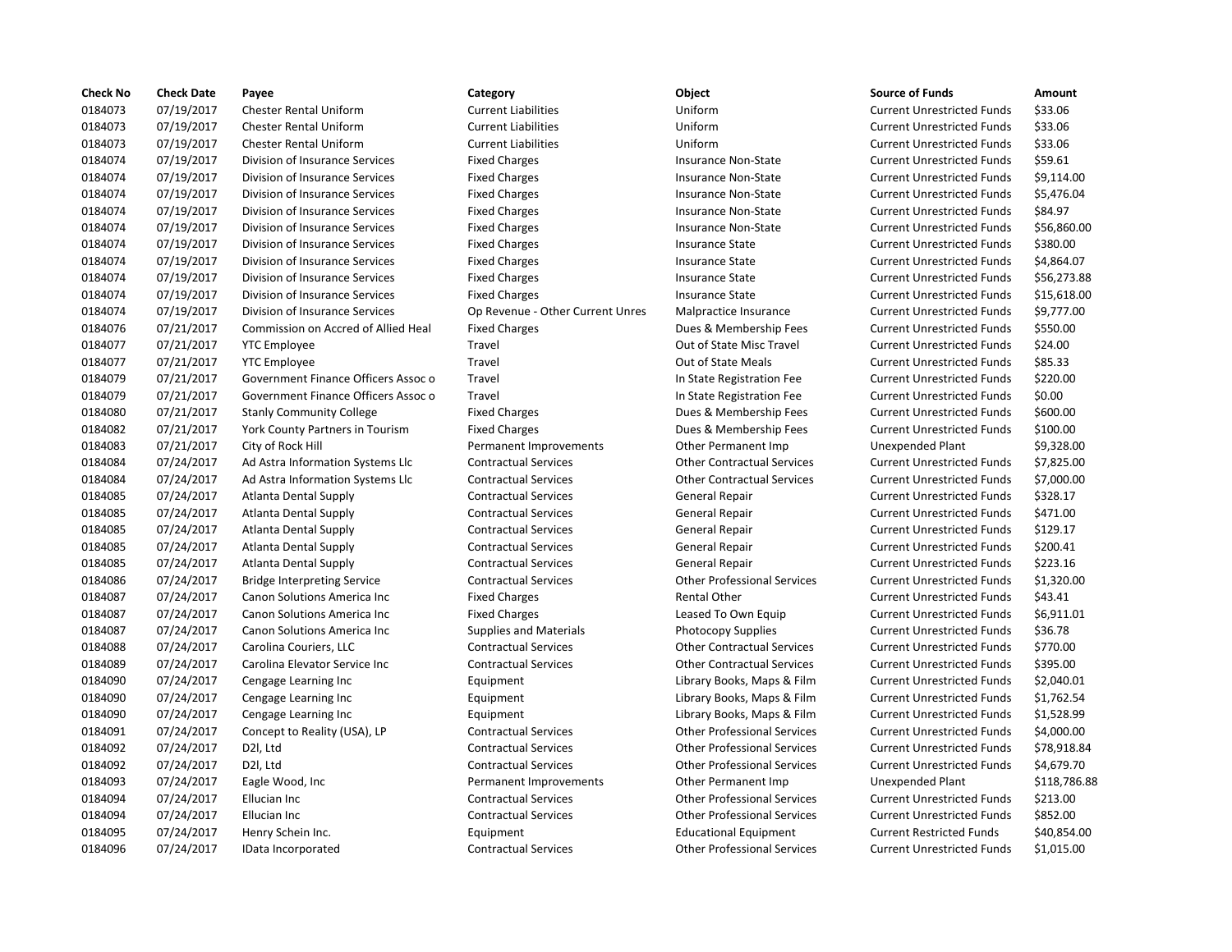| <b>Check No</b> | <b>Check Date</b> | Payee                               | Category                         | Object                             | <b>Source of Funds</b>            | Amount    |
|-----------------|-------------------|-------------------------------------|----------------------------------|------------------------------------|-----------------------------------|-----------|
| 0184073         | 07/19/2017        | <b>Chester Rental Uniform</b>       | <b>Current Liabilities</b>       | Uniform                            | <b>Current Unrestricted Funds</b> | \$33.06   |
| 0184073         | 07/19/2017        | <b>Chester Rental Uniform</b>       | <b>Current Liabilities</b>       | Uniform                            | <b>Current Unrestricted Funds</b> | \$33.06   |
| 0184073         | 07/19/2017        | <b>Chester Rental Uniform</b>       | <b>Current Liabilities</b>       | Uniform                            | <b>Current Unrestricted Funds</b> | \$33.06   |
| 0184074         | 07/19/2017        | Division of Insurance Services      | <b>Fixed Charges</b>             | Insurance Non-State                | <b>Current Unrestricted Funds</b> | \$59.61   |
| 0184074         | 07/19/2017        | Division of Insurance Services      | <b>Fixed Charges</b>             | <b>Insurance Non-State</b>         | <b>Current Unrestricted Funds</b> | \$9,114.0 |
| 0184074         | 07/19/2017        | Division of Insurance Services      | <b>Fixed Charges</b>             | Insurance Non-State                | <b>Current Unrestricted Funds</b> | \$5,476.0 |
| 0184074         | 07/19/2017        | Division of Insurance Services      | <b>Fixed Charges</b>             | Insurance Non-State                | <b>Current Unrestricted Funds</b> | \$84.97   |
| 0184074         | 07/19/2017        | Division of Insurance Services      | <b>Fixed Charges</b>             | <b>Insurance Non-State</b>         | <b>Current Unrestricted Funds</b> | \$56,860  |
| 0184074         | 07/19/2017        | Division of Insurance Services      | <b>Fixed Charges</b>             | <b>Insurance State</b>             | <b>Current Unrestricted Funds</b> | \$380.00  |
| 0184074         | 07/19/2017        | Division of Insurance Services      | <b>Fixed Charges</b>             | <b>Insurance State</b>             | <b>Current Unrestricted Funds</b> | \$4,864.0 |
| 0184074         | 07/19/2017        | Division of Insurance Services      | <b>Fixed Charges</b>             | <b>Insurance State</b>             | <b>Current Unrestricted Funds</b> | \$56,273  |
| 0184074         | 07/19/2017        | Division of Insurance Services      | <b>Fixed Charges</b>             | <b>Insurance State</b>             | <b>Current Unrestricted Funds</b> | \$15,618  |
| 0184074         | 07/19/2017        | Division of Insurance Services      | Op Revenue - Other Current Unres | Malpractice Insurance              | <b>Current Unrestricted Funds</b> | \$9,777.0 |
| 0184076         | 07/21/2017        | Commission on Accred of Allied Heal | <b>Fixed Charges</b>             | Dues & Membership Fees             | <b>Current Unrestricted Funds</b> | \$550.00  |
| 0184077         | 07/21/2017        | <b>YTC Employee</b>                 | Travel                           | Out of State Misc Travel           | <b>Current Unrestricted Funds</b> | \$24.00   |
| 0184077         | 07/21/2017        | <b>YTC</b> Employee                 | Travel                           | Out of State Meals                 | <b>Current Unrestricted Funds</b> | \$85.33   |
| 0184079         | 07/21/2017        | Government Finance Officers Assoc o | Travel                           | In State Registration Fee          | <b>Current Unrestricted Funds</b> | \$220.00  |
| 0184079         | 07/21/2017        | Government Finance Officers Assoc o | Travel                           | In State Registration Fee          | <b>Current Unrestricted Funds</b> | \$0.00    |
| 0184080         | 07/21/2017        | <b>Stanly Community College</b>     | <b>Fixed Charges</b>             | Dues & Membership Fees             | <b>Current Unrestricted Funds</b> | \$600.00  |
| 0184082         | 07/21/2017        | York County Partners in Tourism     | <b>Fixed Charges</b>             | Dues & Membership Fees             | <b>Current Unrestricted Funds</b> | \$100.00  |
| 0184083         | 07/21/2017        | City of Rock Hill                   | Permanent Improvements           | Other Permanent Imp                | <b>Unexpended Plant</b>           | \$9,328.0 |
| 0184084         | 07/24/2017        | Ad Astra Information Systems Llc    | <b>Contractual Services</b>      | <b>Other Contractual Services</b>  | <b>Current Unrestricted Funds</b> | \$7,825.0 |
| 0184084         | 07/24/2017        | Ad Astra Information Systems Llc    | <b>Contractual Services</b>      | <b>Other Contractual Services</b>  | <b>Current Unrestricted Funds</b> | \$7,000.0 |
| 0184085         | 07/24/2017        | <b>Atlanta Dental Supply</b>        | <b>Contractual Services</b>      | General Repair                     | <b>Current Unrestricted Funds</b> | \$328.17  |
| 0184085         | 07/24/2017        | <b>Atlanta Dental Supply</b>        | <b>Contractual Services</b>      | <b>General Repair</b>              | <b>Current Unrestricted Funds</b> | \$471.00  |
| 0184085         | 07/24/2017        | <b>Atlanta Dental Supply</b>        | <b>Contractual Services</b>      | <b>General Repair</b>              | <b>Current Unrestricted Funds</b> | \$129.17  |
| 0184085         | 07/24/2017        | <b>Atlanta Dental Supply</b>        | <b>Contractual Services</b>      | <b>General Repair</b>              | <b>Current Unrestricted Funds</b> | \$200.41  |
| 0184085         | 07/24/2017        | <b>Atlanta Dental Supply</b>        | <b>Contractual Services</b>      | <b>General Repair</b>              | <b>Current Unrestricted Funds</b> | \$223.16  |
| 0184086         | 07/24/2017        | <b>Bridge Interpreting Service</b>  | <b>Contractual Services</b>      | <b>Other Professional Services</b> | <b>Current Unrestricted Funds</b> | \$1,320.0 |
| 0184087         | 07/24/2017        | <b>Canon Solutions America Inc.</b> | <b>Fixed Charges</b>             | <b>Rental Other</b>                | <b>Current Unrestricted Funds</b> | \$43.41   |
| 0184087         | 07/24/2017        | Canon Solutions America Inc         | <b>Fixed Charges</b>             | Leased To Own Equip                | <b>Current Unrestricted Funds</b> | \$6,911.0 |
| 0184087         | 07/24/2017        | Canon Solutions America Inc         | <b>Supplies and Materials</b>    | Photocopy Supplies                 | <b>Current Unrestricted Funds</b> | \$36.78   |
| 0184088         | 07/24/2017        | Carolina Couriers, LLC              | <b>Contractual Services</b>      | <b>Other Contractual Services</b>  | <b>Current Unrestricted Funds</b> | \$770.00  |
| 0184089         | 07/24/2017        | Carolina Elevator Service Inc       | <b>Contractual Services</b>      | <b>Other Contractual Services</b>  | <b>Current Unrestricted Funds</b> | \$395.00  |
| 0184090         | 07/24/2017        | Cengage Learning Inc                | Equipment                        | Library Books, Maps & Film         | <b>Current Unrestricted Funds</b> | \$2,040.0 |
| 0184090         | 07/24/2017        | Cengage Learning Inc                | Equipment                        | Library Books, Maps & Film         | <b>Current Unrestricted Funds</b> | \$1,762.5 |
| 0184090         | 07/24/2017        | Cengage Learning Inc                | Equipment                        | Library Books, Maps & Film         | <b>Current Unrestricted Funds</b> | \$1,528.9 |
| 0184091         | 07/24/2017        | Concept to Reality (USA), LP        | <b>Contractual Services</b>      | <b>Other Professional Services</b> | <b>Current Unrestricted Funds</b> | \$4,000.0 |
| 0184092         | 07/24/2017        | D2I, Ltd                            | <b>Contractual Services</b>      | <b>Other Professional Services</b> | <b>Current Unrestricted Funds</b> | \$78,918  |
| 0184092         | 07/24/2017        | D2I, Ltd                            | <b>Contractual Services</b>      | <b>Other Professional Services</b> | <b>Current Unrestricted Funds</b> | \$4,679.7 |
| 0184093         | 07/24/2017        | Eagle Wood, Inc                     | Permanent Improvements           | Other Permanent Imp                | Unexpended Plant                  | \$118,78  |
| 0184094         | 07/24/2017        | Ellucian Inc                        | <b>Contractual Services</b>      | <b>Other Professional Services</b> | <b>Current Unrestricted Funds</b> | \$213.00  |
| 0184094         | 07/24/2017        | Ellucian Inc                        | <b>Contractual Services</b>      | <b>Other Professional Services</b> | <b>Current Unrestricted Funds</b> | \$852.00  |
| 0184095         | 07/24/2017        | Henry Schein Inc.                   | Equipment                        | <b>Educational Equipment</b>       | <b>Current Restricted Funds</b>   | \$40,854  |
| 0184096         | 07/24/2017        | IData Incorporated                  | <b>Contractual Services</b>      | <b>Other Professional Services</b> | <b>Current Unrestricted Funds</b> | \$1,015.0 |
|                 |                   |                                     |                                  |                                    |                                   |           |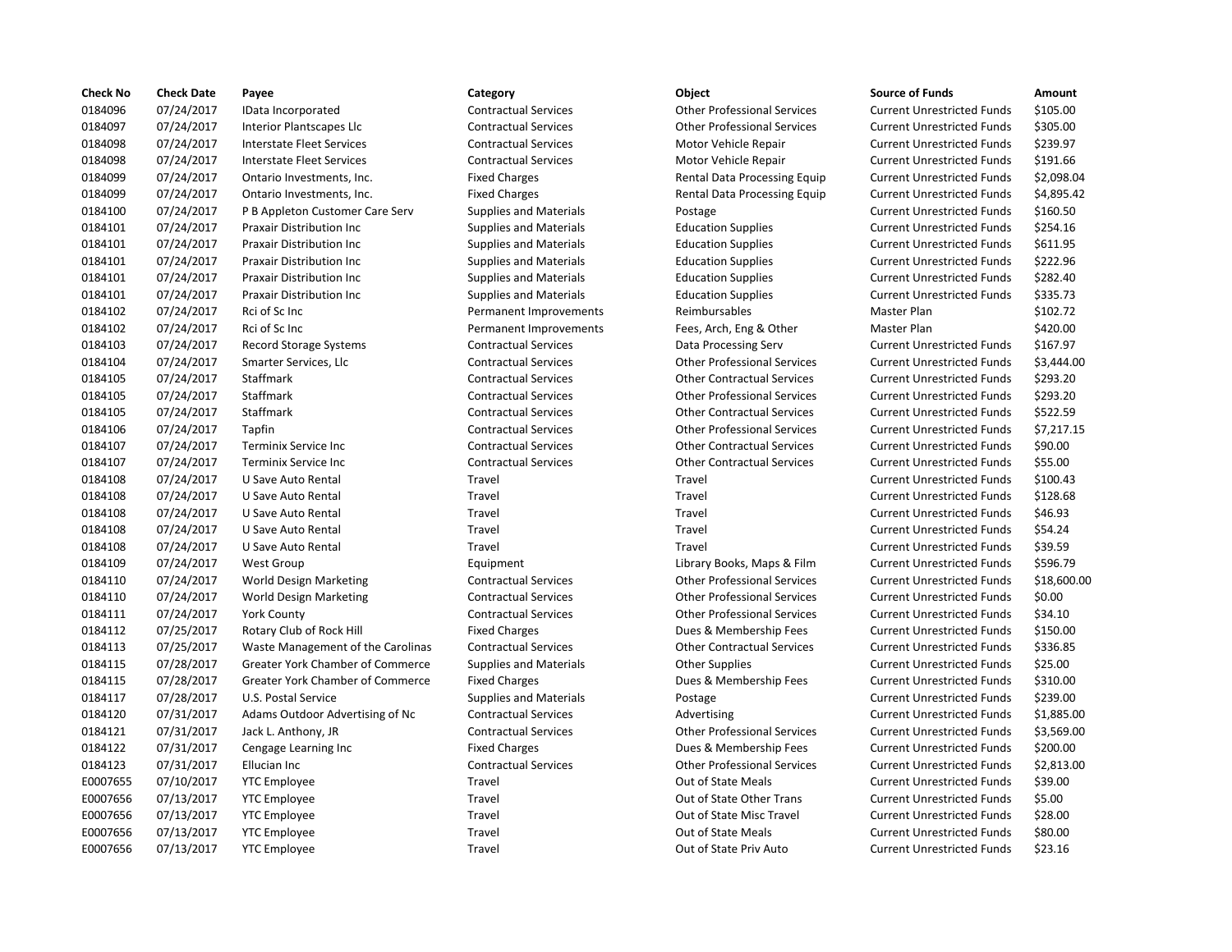| <b>Check No</b> | <b>Check Date</b> | Payee                                   | Category                      | <b>Object</b>                      | <b>Source of Funds</b>            | Amount    |
|-----------------|-------------------|-----------------------------------------|-------------------------------|------------------------------------|-----------------------------------|-----------|
| 0184096         | 07/24/2017        | IData Incorporated                      | <b>Contractual Services</b>   | <b>Other Professional Services</b> | <b>Current Unrestricted Funds</b> | \$105.00  |
| 0184097         | 07/24/2017        | Interior Plantscapes Llc                | <b>Contractual Services</b>   | <b>Other Professional Services</b> | <b>Current Unrestricted Funds</b> | \$305.00  |
| 0184098         | 07/24/2017        | <b>Interstate Fleet Services</b>        | <b>Contractual Services</b>   | Motor Vehicle Repair               | <b>Current Unrestricted Funds</b> | \$239.97  |
| 0184098         | 07/24/2017        | Interstate Fleet Services               | <b>Contractual Services</b>   | Motor Vehicle Repair               | <b>Current Unrestricted Funds</b> | \$191.66  |
| 0184099         | 07/24/2017        | Ontario Investments, Inc.               | <b>Fixed Charges</b>          | Rental Data Processing Equip       | <b>Current Unrestricted Funds</b> | \$2,098.0 |
| 0184099         | 07/24/2017        | Ontario Investments, Inc.               | <b>Fixed Charges</b>          | Rental Data Processing Equip       | <b>Current Unrestricted Funds</b> | \$4,895.4 |
| 0184100         | 07/24/2017        | P B Appleton Customer Care Serv         | <b>Supplies and Materials</b> | Postage                            | <b>Current Unrestricted Funds</b> | \$160.50  |
| 0184101         | 07/24/2017        | <b>Praxair Distribution Inc.</b>        | <b>Supplies and Materials</b> | <b>Education Supplies</b>          | <b>Current Unrestricted Funds</b> | \$254.16  |
| 0184101         | 07/24/2017        | Praxair Distribution Inc                | <b>Supplies and Materials</b> | <b>Education Supplies</b>          | <b>Current Unrestricted Funds</b> | \$611.95  |
| 0184101         | 07/24/2017        | Praxair Distribution Inc                | <b>Supplies and Materials</b> | <b>Education Supplies</b>          | <b>Current Unrestricted Funds</b> | \$222.96  |
| 0184101         | 07/24/2017        | Praxair Distribution Inc                | <b>Supplies and Materials</b> | <b>Education Supplies</b>          | <b>Current Unrestricted Funds</b> | \$282.40  |
| 0184101         | 07/24/2017        | <b>Praxair Distribution Inc.</b>        | <b>Supplies and Materials</b> | <b>Education Supplies</b>          | <b>Current Unrestricted Funds</b> | \$335.73  |
| 0184102         | 07/24/2017        | Rci of Sc Inc                           | Permanent Improvements        | Reimbursables                      | Master Plan                       | \$102.72  |
| 0184102         | 07/24/2017        | Rci of Sc Inc                           | Permanent Improvements        | Fees, Arch, Eng & Other            | Master Plan                       | \$420.00  |
| 0184103         | 07/24/2017        | <b>Record Storage Systems</b>           | <b>Contractual Services</b>   | Data Processing Serv               | <b>Current Unrestricted Funds</b> | \$167.97  |
| 0184104         | 07/24/2017        | Smarter Services, Llc                   | <b>Contractual Services</b>   | <b>Other Professional Services</b> | <b>Current Unrestricted Funds</b> | \$3,444.0 |
| 0184105         | 07/24/2017        | Staffmark                               | <b>Contractual Services</b>   | <b>Other Contractual Services</b>  | <b>Current Unrestricted Funds</b> | \$293.20  |
| 0184105         | 07/24/2017        | Staffmark                               | <b>Contractual Services</b>   | <b>Other Professional Services</b> | <b>Current Unrestricted Funds</b> | \$293.20  |
| 0184105         | 07/24/2017        | Staffmark                               | <b>Contractual Services</b>   | <b>Other Contractual Services</b>  | <b>Current Unrestricted Funds</b> | \$522.59  |
| 0184106         | 07/24/2017        | Tapfin                                  | <b>Contractual Services</b>   | <b>Other Professional Services</b> | <b>Current Unrestricted Funds</b> | \$7,217.1 |
| 0184107         | 07/24/2017        | Terminix Service Inc                    | <b>Contractual Services</b>   | <b>Other Contractual Services</b>  | <b>Current Unrestricted Funds</b> | \$90.00   |
| 0184107         | 07/24/2017        | Terminix Service Inc                    | <b>Contractual Services</b>   | <b>Other Contractual Services</b>  | <b>Current Unrestricted Funds</b> | \$55.00   |
| 0184108         | 07/24/2017        | U Save Auto Rental                      | Travel                        | Travel                             | <b>Current Unrestricted Funds</b> | \$100.43  |
| 0184108         | 07/24/2017        | U Save Auto Rental                      | Travel                        | Travel                             | <b>Current Unrestricted Funds</b> | \$128.68  |
| 0184108         | 07/24/2017        | U Save Auto Rental                      | Travel                        | Travel                             | <b>Current Unrestricted Funds</b> | \$46.93   |
| 0184108         | 07/24/2017        | U Save Auto Rental                      | Travel                        | Travel                             | <b>Current Unrestricted Funds</b> | \$54.24   |
| 0184108         | 07/24/2017        | U Save Auto Rental                      | Travel                        | Travel                             | <b>Current Unrestricted Funds</b> | \$39.59   |
| 0184109         | 07/24/2017        | <b>West Group</b>                       | Equipment                     | Library Books, Maps & Film         | <b>Current Unrestricted Funds</b> | \$596.79  |
| 0184110         | 07/24/2017        | World Design Marketing                  | <b>Contractual Services</b>   | <b>Other Professional Services</b> | <b>Current Unrestricted Funds</b> | \$18,600  |
| 0184110         | 07/24/2017        | World Design Marketing                  | <b>Contractual Services</b>   | <b>Other Professional Services</b> | <b>Current Unrestricted Funds</b> | \$0.00    |
| 0184111         | 07/24/2017        | <b>York County</b>                      | <b>Contractual Services</b>   | <b>Other Professional Services</b> | <b>Current Unrestricted Funds</b> | \$34.10   |
| 0184112         | 07/25/2017        | Rotary Club of Rock Hill                | <b>Fixed Charges</b>          | Dues & Membership Fees             | <b>Current Unrestricted Funds</b> | \$150.00  |
| 0184113         | 07/25/2017        | Waste Management of the Carolinas       | <b>Contractual Services</b>   | <b>Other Contractual Services</b>  | <b>Current Unrestricted Funds</b> | \$336.85  |
| 0184115         | 07/28/2017        | <b>Greater York Chamber of Commerce</b> | <b>Supplies and Materials</b> | <b>Other Supplies</b>              | <b>Current Unrestricted Funds</b> | \$25.00   |
| 0184115         | 07/28/2017        | Greater York Chamber of Commerce        | <b>Fixed Charges</b>          | Dues & Membership Fees             | <b>Current Unrestricted Funds</b> | \$310.00  |
| 0184117         | 07/28/2017        | U.S. Postal Service                     | <b>Supplies and Materials</b> | Postage                            | <b>Current Unrestricted Funds</b> | \$239.00  |
| 0184120         | 07/31/2017        | Adams Outdoor Advertising of Nc         | <b>Contractual Services</b>   | Advertising                        | <b>Current Unrestricted Funds</b> | \$1,885.0 |
| 0184121         | 07/31/2017        | Jack L. Anthony, JR                     | <b>Contractual Services</b>   | <b>Other Professional Services</b> | <b>Current Unrestricted Funds</b> | \$3,569.0 |
| 0184122         | 07/31/2017        | Cengage Learning Inc                    | <b>Fixed Charges</b>          | Dues & Membership Fees             | <b>Current Unrestricted Funds</b> | \$200.00  |
| 0184123         | 07/31/2017        | Ellucian Inc                            | <b>Contractual Services</b>   | <b>Other Professional Services</b> | <b>Current Unrestricted Funds</b> | \$2,813.0 |
| E0007655        | 07/10/2017        | <b>YTC Employee</b>                     | Travel                        | Out of State Meals                 | <b>Current Unrestricted Funds</b> | \$39.00   |
| E0007656        | 07/13/2017        | <b>YTC Employee</b>                     | Travel                        | Out of State Other Trans           | <b>Current Unrestricted Funds</b> | \$5.00    |
| E0007656        | 07/13/2017        | <b>YTC Employee</b>                     | Travel                        | Out of State Misc Travel           | <b>Current Unrestricted Funds</b> | \$28.00   |
| E0007656        | 07/13/2017        | <b>YTC Employee</b>                     | Travel                        | Out of State Meals                 | <b>Current Unrestricted Funds</b> | \$80.00   |
| E0007656        | 07/13/2017        | <b>YTC Employee</b>                     | Travel                        | Out of State Priv Auto             | <b>Current Unrestricted Funds</b> | \$23.16   |
|                 |                   |                                         |                               |                                    |                                   |           |